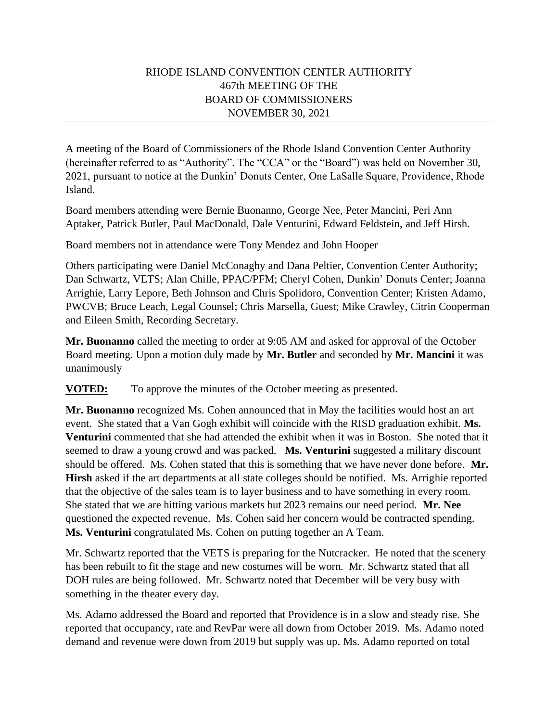## RHODE ISLAND CONVENTION CENTER AUTHORITY 467th MEETING OF THE BOARD OF COMMISSIONERS NOVEMBER 30, 2021

A meeting of the Board of Commissioners of the Rhode Island Convention Center Authority (hereinafter referred to as "Authority". The "CCA" or the "Board") was held on November 30, 2021, pursuant to notice at the Dunkin' Donuts Center, One LaSalle Square, Providence, Rhode Island.

Board members attending were Bernie Buonanno, George Nee, Peter Mancini, Peri Ann Aptaker, Patrick Butler, Paul MacDonald, Dale Venturini, Edward Feldstein, and Jeff Hirsh.

Board members not in attendance were Tony Mendez and John Hooper

Others participating were Daniel McConaghy and Dana Peltier, Convention Center Authority; Dan Schwartz, VETS; Alan Chille, PPAC/PFM; Cheryl Cohen, Dunkin' Donuts Center; Joanna Arrighie, Larry Lepore, Beth Johnson and Chris Spolidoro, Convention Center; Kristen Adamo, PWCVB; Bruce Leach, Legal Counsel; Chris Marsella, Guest; Mike Crawley, Citrin Cooperman and Eileen Smith, Recording Secretary.

**Mr. Buonanno** called the meeting to order at 9:05 AM and asked for approval of the October Board meeting. Upon a motion duly made by **Mr. Butler** and seconded by **Mr. Mancini** it was unanimously

**VOTED:** To approve the minutes of the October meeting as presented.

**Mr. Buonanno** recognized Ms. Cohen announced that in May the facilities would host an art event. She stated that a Van Gogh exhibit will coincide with the RISD graduation exhibit. **Ms. Venturini** commented that she had attended the exhibit when it was in Boston. She noted that it seemed to draw a young crowd and was packed. **Ms. Venturini** suggested a military discount should be offered. Ms. Cohen stated that this is something that we have never done before. **Mr. Hirsh** asked if the art departments at all state colleges should be notified. Ms. Arrighie reported that the objective of the sales team is to layer business and to have something in every room. She stated that we are hitting various markets but 2023 remains our need period. **Mr. Nee**  questioned the expected revenue. Ms. Cohen said her concern would be contracted spending. **Ms. Venturini** congratulated Ms. Cohen on putting together an A Team.

Mr. Schwartz reported that the VETS is preparing for the Nutcracker. He noted that the scenery has been rebuilt to fit the stage and new costumes will be worn. Mr. Schwartz stated that all DOH rules are being followed. Mr. Schwartz noted that December will be very busy with something in the theater every day.

Ms. Adamo addressed the Board and reported that Providence is in a slow and steady rise. She reported that occupancy, rate and RevPar were all down from October 2019. Ms. Adamo noted demand and revenue were down from 2019 but supply was up. Ms. Adamo reported on total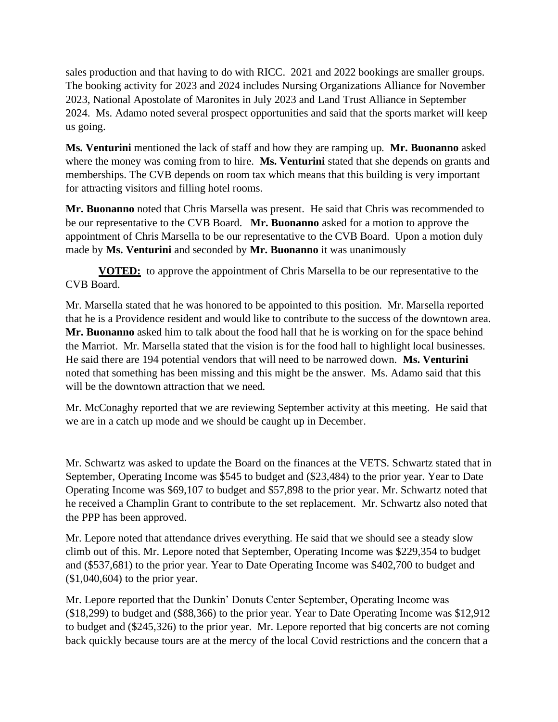sales production and that having to do with RICC. 2021 and 2022 bookings are smaller groups. The booking activity for 2023 and 2024 includes Nursing Organizations Alliance for November 2023, National Apostolate of Maronites in July 2023 and Land Trust Alliance in September 2024. Ms. Adamo noted several prospect opportunities and said that the sports market will keep us going.

**Ms. Venturini** mentioned the lack of staff and how they are ramping up. **Mr. Buonanno** asked where the money was coming from to hire. **Ms. Venturini** stated that she depends on grants and memberships. The CVB depends on room tax which means that this building is very important for attracting visitors and filling hotel rooms.

**Mr. Buonanno** noted that Chris Marsella was present. He said that Chris was recommended to be our representative to the CVB Board. **Mr. Buonanno** asked for a motion to approve the appointment of Chris Marsella to be our representative to the CVB Board. Upon a motion duly made by **Ms. Venturini** and seconded by **Mr. Buonanno** it was unanimously

**VOTED:** to approve the appointment of Chris Marsella to be our representative to the CVB Board.

Mr. Marsella stated that he was honored to be appointed to this position. Mr. Marsella reported that he is a Providence resident and would like to contribute to the success of the downtown area. **Mr. Buonanno** asked him to talk about the food hall that he is working on for the space behind the Marriot. Mr. Marsella stated that the vision is for the food hall to highlight local businesses. He said there are 194 potential vendors that will need to be narrowed down. **Ms. Venturini**  noted that something has been missing and this might be the answer. Ms. Adamo said that this will be the downtown attraction that we need.

Mr. McConaghy reported that we are reviewing September activity at this meeting. He said that we are in a catch up mode and we should be caught up in December.

Mr. Schwartz was asked to update the Board on the finances at the VETS. Schwartz stated that in September, Operating Income was \$545 to budget and (\$23,484) to the prior year. Year to Date Operating Income was \$69,107 to budget and \$57,898 to the prior year. Mr. Schwartz noted that he received a Champlin Grant to contribute to the set replacement. Mr. Schwartz also noted that the PPP has been approved.

Mr. Lepore noted that attendance drives everything. He said that we should see a steady slow climb out of this. Mr. Lepore noted that September, Operating Income was \$229,354 to budget and (\$537,681) to the prior year. Year to Date Operating Income was \$402,700 to budget and (\$1,040,604) to the prior year.

Mr. Lepore reported that the Dunkin' Donuts Center September, Operating Income was (\$18,299) to budget and (\$88,366) to the prior year. Year to Date Operating Income was \$12,912 to budget and (\$245,326) to the prior year. Mr. Lepore reported that big concerts are not coming back quickly because tours are at the mercy of the local Covid restrictions and the concern that a